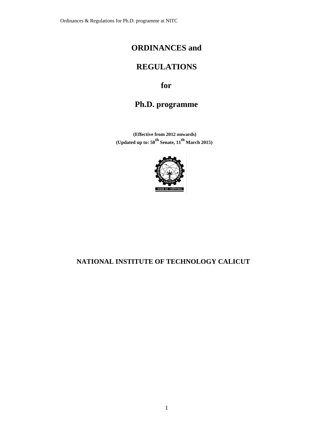Ordinances & Regulations for Ph.D. programme at NITC

# **ORDINANCES and**

# **REGULATIONS**

# **for**

# **Ph.D. programme**

**(Effective from 2012 onwards) (Updated up to: 50th Senate, 11th March 2015)**



# **NATIONAL INSTITUTE OF TECHNOLOGY CALICUT**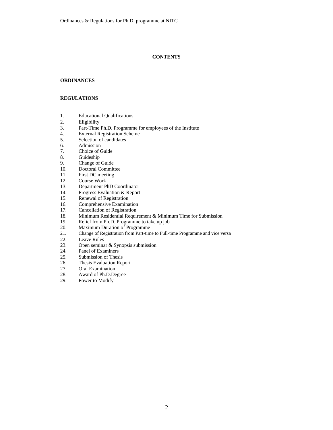### **CONTENTS**

#### **ORDINANCES**

#### **REGULATIONS**

- 1. Educational Qualifications
- 2. Eligibility<br>3. Part-Time
- Part-Time Ph.D. Programme for employees of the Institute
- 4. External Registration Scheme<br>5. Selection of candidates
- Selection of candidates
- 
- 6. Admission<br>7. Choice of C 7. Choice of Guide<br>8. Guideship
- **Guideship**
- 
- 9. Change of Guide<br>10. Doctoral Commit Doctoral Committee
- 11. First DC meeting
- 12. Course Work
- 13. Department PhD Coordinator
- 14. Progress Evaluation & Report<br>15. Renewal of Registration
- Renewal of Registration
- 16. Comprehensive Examination<br>17. Cancellation of Registration
- 17. Cancellation of Registration<br>18. Minimum Residential Require
- Minimum Residential Requirement & Minimum Time for Submission
- 19. Relief from Ph.D. Programme to take up job 20. Maximum Duration of Programme
- 20. Maximum Duration of Programme<br>21. Change of Registration from Part-tim
- Change of Registration from Part-time to Full-time Programme and vice versa
- 22. Leave Rules<br>23. Open semina
- Open seminar  $&$  Synopsis submission
- 24. Panel of Examiners<br>25. Submission of Thesi
- Submission of Thesis
- 26. Thesis Evaluation Report<br>27. Oral Examination
- 
- 27. Oral Examination<br>28. Award of Ph.D.De Award of Ph.D.Degree
- 29. Power to Modify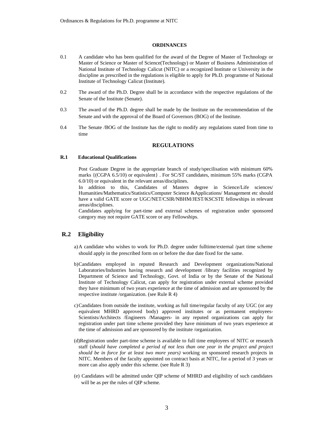#### **ORDINANCES**

- 0.1 A candidate who has been qualified for the award of the Degree of Master of Technology or Master of Science or Master of Science(Technology) or Master of Business Administration of National Institute of Technology Calicut (NITC) or a recognized Institute or University in the discipline as prescribed in the regulations is eligible to apply for Ph.D. programme of National Institute of Technology Calicut (Institute).
- 0.2 The award of the Ph.D. Degree shall be in accordance with the respective regulations of the Senate of the Institute (Senate).
- 0.3 The award of the Ph.D. degree shall be made by the Institute on the recommendation of the Senate and with the approval of the Board of Governors (BOG) of the Institute.
- 0.4 The Senate /BOG of the Institute has the right to modify any regulations stated from time to time

#### **REGULATIONS**

#### **R.1 Educational Qualifications**

Post Graduate Degree in the appropriate branch of study/specilisation with minimum 60% marks {(CGPA 6.5/10) or equivalent} . For SC/ST candidates, minimum 55% marks (CGPA 6.0/10) or equivalent in the relevant areas/disciplines.

In addition to this, Candidates of Masters degree in Science/Life sciences/ Humanities/Mathematics/Statistics/Computer Science &Applications/ Management etc should have a valid GATE score or UGC/NET/CSIR/NBHM/JEST/KSCSTE fellowships in relevant areas/disciplines.

Candidates applying for part-time and external schemes of registration under sponsored category may not require GATE score or any Fellowships.

## **R.2 Eligibility**

- a)A candidate who wishes to work for Ph.D. degree under fulltime/external /part time scheme should apply in the prescribed form on or before the due date fixed for the same.
- b)Candidates employed in reputed Research and Development organizations/National Laboratories/Industries having research and development /library facilities recognized by Department of Science and Technology, Govt. of India or by the Senate of the National Institute of Technology Calicut, can apply for registration under external scheme provided they have minimum of two years experience at the time of admission and are sponsored by the respective institute /organization. (see Rule R 4)
- c)Candidates from outside the institute, working as full time/regular faculty of any UGC (or any equivalent MHRD approved body) approved institutes or as permanent employees-Scientists/Architects /Engineers /Managers- in any reputed organizations can apply for registration under part time scheme provided they have minimum of two years experience at the time of admission and are sponsored by the institute /organization.
- (d)Registration under part-time scheme is available to full time employees of NITC or research staff (*should have completed a period of not less than one year in the project and project should be in force for at least two more years)* working on sponsored research projects in NITC. Members of the faculty appointed on contract basis at NITC, for a period of 3 years or more can also apply under this scheme. (see Rule R 3)
- (e) Candidates will be admitted under QIP scheme of MHRD and eligibility of such candidates will be as per the rules of QIP scheme.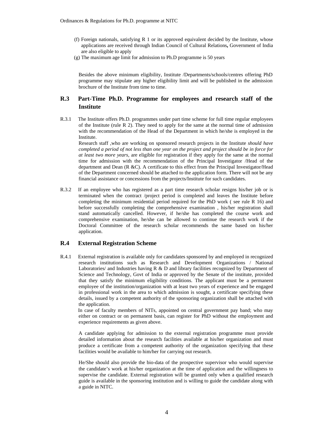- (f) Foreign nationals, satisfying R 1 or its approved equivalent decided by the Institute, whose applications are received through Indian Council of Cultural Relations**,** Government of India are also eligible to apply
- (g) The maximum age limit for admission to Ph.D programme is 50 years

Besides the above minimum eligibility, Institute /Departments/schools/centres offering PhD programme may stipulate any higher eligibility limit and will be published in the admission brochure of the Institute from time to time.

# **R.3 Part-Time Ph.D. Programme for employees and research staff of the Institute**

R.3.1 The Institute offers Ph.D. programmes under part time scheme for full time regular employees of the Institute (rule R 2). They need to apply for the same at the normal time of admission with the recommendation of the Head of the Department in which he/she is employed in the Institute.

Research staff ,who are working on sponsored research projects in the Institute *should have completed a period of not less than one year on the project and project should be in force for at least two more years,* are eligible for registration if they apply for the same at the normal time for admission with the recommendation of the Principal Investigator /Head of the department and Dean (R &C). A certificate to this effect from the Principal Investigator/Head of the Department concerned should be attached to the application form. There will not be any financial assistance or concessions from the projects/Institute for such candidates.

R.3.2 If an employee who has registered as a part time research scholar resigns his/her job or is terminated when the contract /project period is completed and leaves the Institute before completing the minimum residential period required for the PhD work ( see rule R 16) and before successfully completing the comprehensive examination , his/her registration shall stand automatically cancelled. However, if he/she has completed the course work and comprehensive examination, he/she can be allowed to continue the research work if the Doctoral Committee of the research scholar recommends the same based on his/her application.

### **R.4 External Registration Scheme**

R.4.1 External registration is available only for candidates sponsored by and employed in recognized research institutions such as Research and Development Organizations / National Laboratories/ and Industries having R & D and library facilities recognized by Department of Science and Technology, Govt of India or approved by the Senate of the institute, provided that they satisfy the minimum eligibility conditions. The applicant must be a permanent employee of the institution/organization with at least two years of experience and be engaged in professional work in the area to which admission is sought, a certificate specifying these details, issued by a competent authority of the sponsoring organization shall be attached with the application.

 In case of faculty members of NITs, appointed on central government pay band; who may either on contract or on permanent basis, can register for PhD without the employment and experience requirements as given above.

A candidate applying for admission to the external registration programme must provide detailed information about the research facilities available at his/her organization and must produce a certificate from a competent authority of the organization specifying that these facilities would be available to him/her for carrying out research.

He/She should also provide the bio-data of the prospective supervisor who would supervise the candidate's work at his/her organization at the time of application and the willingness to supervise the candidate. External registration will be granted only when a qualified research guide is available in the sponsoring institution and is willing to guide the candidate along with a guide in NITC.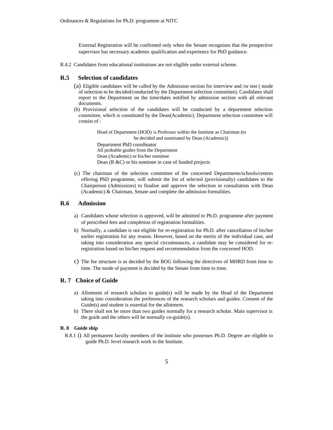External Registration will be confirmed only when the Senate recognizes that the prospective supervisor has necessary academic qualification and experience for PhD guidance.

R.4.2 Candidates from educational institutions are not eligible under external scheme.

#### **R.5 Selection of candidates**

- (a) Eligible candidates will be called by the Admission section for interview and /or test ( mode of selection to be decided/conducted by the Department selection committee). Candidates shall report to the Department on the time/dates notified by admission section with all relevant documents.
- (b) Provisional selection of the candidates will be conducted by a department selection committee, which is constituted by the Dean(Academic). Department selection committee will consist of :

Head of Department (HOD) /a Professor within the Institute as Chairman (to be decided and nominated by Dean (Academic)) Department PhD coordinator All probable guides from the Department Dean (Academic) or his/her nominee Dean (R &C) or his nominee in case of funded projects

(c) The chairman of the selection committee of the concerned Departments/schools/centres offering PhD programme, will submit the list of selected (provisionally) candidates to the Chairperson (Admissions) to finalise and approve the selection in consultation with Dean (Academic) & Chairman, Senate and complete the admission formalities.

### **R.6 Admission**

- a) Candidates whose selection is approved, will be admitted to Ph.D. programme after payment of prescribed fees and completion of registration formalities.
- b) Normally, a candidate is not eligible for re-registration for Ph.D. after cancellation of his/her earlier registration for any reason. However, based on the merits of the individual case, and taking into consideration any special circumstances, a candidate may be considered for reregistration based on his/her request and recommendation from the concerned HOD.
- c) The fee structure is as decided by the BOG following the directives of MHRD from time to time. The mode of payment is decided by the Senate from time to time.

#### **R. 7 Choice of Guide**

- a) Allotment of research scholars to guide $(s)$  will be made by the Head of the Department taking into consideration the preferences of the research scholars and guides. Consent of the Guide(s) and student is essential for the allotment.
- b) There shall not be more than two guides normally for a research scholar. Main supervisor is the guide and the others will be normally co-guide(s).

#### **R. 8 Guide ship**

R.8.1 i) All permanent faculty members of the institute who possesses Ph.D. Degree are eligible to guide Ph.D. level research work in the Institute.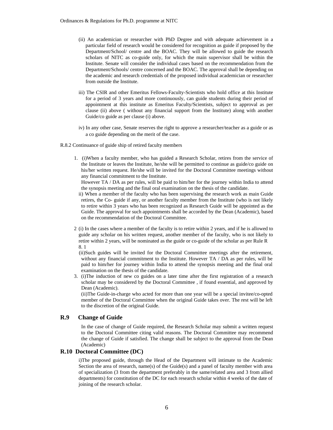- (ii) An academician or researcher with PhD Degree and with adequate achievement in a particular field of research would be considered for recognition as guide if proposed by the Department/School/ centre and the BOAC. They will be allowed to guide the research scholars of NITC as co-guide only, for which the main supervisor shall be within the Institute. Senate will consider the individual cases based on the recommendation from the Department/Schools/ centre concerned and the BOAC. The approval shall be depending on the academic and research credentials of the proposed individual academician or researcher from outside the Institute.
- iii) The CSIR and other Emeritus Fellows-Faculty-Scientists who hold office at this Institute for a period of 3 years and more continuously, can guide students during their period of appointment at this institute as Emeritus Faculty/Scientists, subject to approval as per clause (ii) above ( without any financial support from the Institute) along with another Guide/co guide as per clause (i) above.
- iv) In any other case, Senate reserves the right to approve a researcher/teacher as a guide or as a co guide depending on the merit of the case.
- R.8.2 Continuance of guide ship of retired faculty members
	- 1. (i)When a faculty member, who has guided a Research Scholar, retires from the service of the Institute or leaves the Institute, he/she will be permitted to continue as guide/co guide on his/her written request. He/she will be invited for the Doctoral Committee meetings without any financial commitment to the Institute.

However TA / DA as per rules, will be paid to him/her for the journey within India to attend the synopsis meeting and the final oral examination on the thesis of the candidate.

- ii) When a member of the faculty who has been supervising the research work as main Guide retires, the Co- guide if any, or another faculty member from the Institute (who is not likely to retire within 3 years who has been recognized as Research Guide will be appointed as the Guide. The approval for such appointments shall be accorded by the Dean (Academic), based on the recommendation of the Doctoral Committee.
- 2 (i) In the cases where a member of the faculty is to retire within 2 years, and if he is allowed to guide any scholar on his written request, another member of the faculty, who is not likely to retire within 2 years, will be nominated as the guide or co-guide of the scholar as per Rule R 8. 1

(ii)Such guides will be invited for the Doctoral Committee meetings after the retirement, without any financial commitment to the Institute. However TA / DA as per rules, will be paid to him/her for journey within India to attend the synopsis meeting and the final oral examination on the thesis of the candidate.

3. (i)The induction of new co guides on a later time after the first registration of a research scholar may be considered by the Doctoral Committee , if found essential, and approved by Dean (Academic).

(ii)The Guide-in-charge who acted for more than one year will be a special invitee/co-opted member of the Doctoral Committee when the original Guide takes over. The rest will be left to the discretion of the original Guide.

### **R.9 Change of Guide**

In the case of change of Guide required, the Research Scholar may submit a written request to the Doctoral Committee citing valid reasons. The Doctoral Committee may recommend the change of Guide if satisfied. The change shall be subject to the approval from the Dean (Academic)

#### **R.10 Doctoral Committee (DC)**

i)The proposed guide, through the Head of the Department will intimate to the Academic Section the area of research, name(s) of the Guide $(s)$  and a panel of faculty member with area of specialization (3 from the department preferably in the same/related area and 3 from allied departments) for constitution of the DC for each research scholar within 4 weeks of the date of joining of the research scholar.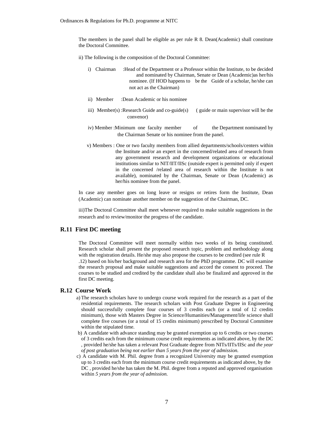The members in the panel shall be eligible as per rule R 8. Dean(Academic) shall constitute the Doctoral Committee.

- ii) The following is the composition of the Doctoral Committee:
	- i) Chairman :Head of the Department or a Professor within the Institute, to be decided and nominated by Chairman, Senate or Dean (Academic)as her/his nominee. (If HOD happens to be the Guide of a scholar, he/she can not act as the Chairman)
	- ii) Member :Dean Academic or his nominee
	- iii) Member(s) :Research Guide and co-guide(s) ( guide or main supervisor will be the convenor)
	- iv) Member : Minimum one faculty member of the Department nominated by the Chairman Senate or his nominee from the panel.
	- v) Members : One or two faculty members from allied departments/schools/centers within the Institute and/or an expert in the concerned/related area of research from any government research and development organizations or educational institutions similar to NIT/IIT/IISc (outside expert is permitted only if expert in the concerned /related area of research within the Institute is not available), nominated by the Chairman, Senate or Dean (Academic) as her/his nominee from the panel.

In case any member goes on long leave or resigns or retires form the Institute, Dean (Academic) can nominate another member on the suggestion of the Chairman, DC.

iii)The Doctoral Committee shall meet whenever required to make suitable suggestions in the research and to review/monitor the progress of the candidate.

### **R.11 First DC meeting**

The Doctoral Committee will meet normally within two weeks of its being constituted. Research scholar shall present the proposed research topic, problem and methodology along with the registration details. He/she may also propose the courses to be credited (see rule R .12) based on his/her background and research area for the PhD programme. DC will examine the research proposal and make suitable suggestions and accord the consent to proceed. The courses to be studied and credited by the candidate shall also be finalized and approved in the first DC meeting.

#### **R.12 Course Work**

- a) The research scholars have to undergo course work required for the research as a part of the residential requirements. The research scholars with Post Graduate Degree in Engineering should successfully complete four courses of 3 credits each (or a total of 12 credits minimum), those with Masters Degree in Science/Humanities/Management/life science shall complete five courses (or a total of 15 credits minimum) prescribed by Doctoral Committee within the stipulated time.
- b) A candidate with advance standing may be granted exemption up to 6 credits or two courses of 3 credits each from the minimum course credit requirements as indicated above, by the DC , provided he/she has taken a relevant Post Graduate degree from NITs/IITs/IISc and *the year of post graduation being not earlier than 5 years from the year of admission.*
- c) A candidate with M. Phil. degree from a recognized University may be granted exemption up to 3 credits each from the minimum course credit requirements as indicated above, by the DC , provided he/she has taken the M. Phil. degree from a reputed and approved organisation within *5 years from the year of admission.*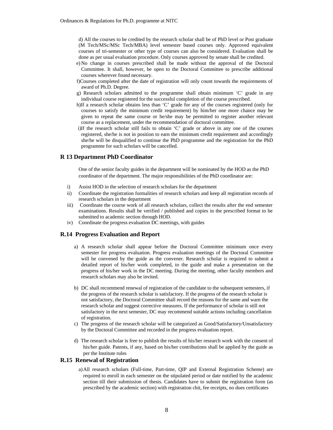d) All the courses to be credited by the research scholar shall be of PhD level or Post graduate (M Tech/MSc/MSc Tech/MBA) level semester based courses only. Approved equivalent courses of tri-semester or other type of courses can also be considered. Evaluation shall be done as per usual evaluation procedure. Only courses approved by senate shall be credited.

- e) No change in courses prescribed shall be made without the approval of the Doctoral Committee. It shall, however, be open to the Doctoral Committee to prescribe additional courses wherever found necessary.
- f)Courses completed after the date of registration will only count towards the requirements of award of Ph.D. Degree.
- g) Research scholars admitted to the programme shall obtain minimum 'C' grade in any individual course registered for the successful completion of the course prescribed.
- h)If a research scholar obtains less than 'C' grade for any of the courses registered (only for courses to satisfy the minimum credit requirement) by him/her one more chance may be given to repeat the same course or he/she may be permitted to register another relevant course as a replacement, under the recommendation of doctoral committee.
- i)If the research scholar still fails to obtain 'C' grade or above in any one of the courses registered, she/he is not in position to earn the minimum credit requirement and accordingly she/he will be disqualified to continue the PhD programme and the registration for the PhD programme for such scholars will be cancelled.

#### **R 13 Department PhD Coordinator**

One of the senior faculty guides in the department will be nominated by the HOD as the PhD coordinator of the department. The major responsibilities of the PhD coordinator are:

- i) Assist HOD in the selection of research scholars for the department
- ii) Coordinate the registration formalities of research scholars and keep all registration records of research scholars in the department
- iii) Coordinate the course work of all research scholars, collect the results after the end semester examinations. Results shall be verified / published and copies in the prescribed format to be submitted to academic section through HOD.
- iv) Coordinate the progress evaluation DC meetings, with guides

#### **R.14 Progress Evaluation and Report**

- a) A research scholar shall appear before the Doctoral Committee minimum once every semester for progress evaluation. Progress evaluation meetings of the Doctoral Committee will be convened by the guide as the convener. Research scholar is required to submit a detailed report of his/her work completed, to the guide and make a presentation on the progress of his/her work in the DC meeting. During the meeting, other faculty members and research scholars may also be invited.
- b) DC shall recommend renewal of registration of the candidate to the subsequent semesters, if the progress of the research scholar is satisfactory. If the progress of the research scholar is not satisfactory, the Doctoral Committee shall record the reasons for the same and warn the research scholar and suggest corrective measures. If the performance of scholar is still not satisfactory in the next semester, DC may recommend suitable actions including cancellation of registration.
- c) The progress of the research scholar will be categorized as Good/Satisfactory/Unsatisfactory by the Doctoral Committee and recorded in the progress evaluation report.
- d) The research scholar is free to publish the results of his/her research work with the consent of his/her guide. Patents, if any, based on his/her contributions shall be applied by the guide as per the Institute rules

#### **R.15 Renewal of Registration**

a)All research scholars (Full-time, Part-time, QIP and External Registration Scheme) are required to enroll in each semester on the stipulated period or date notified by the academic section till their submission of thesis. Candidates have to submit the registration form (as prescribed by the academic section) with registration chit, fee receipts, no dues certificates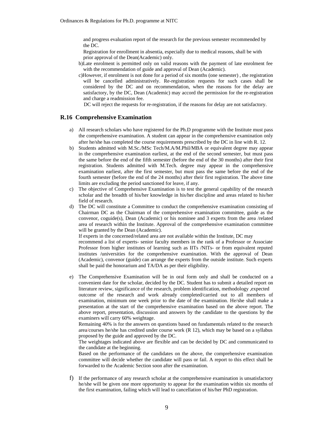and progress evaluation report of the research for the previous semester recommended by the DC.

Registration for enrollment in absentia, especially due to medical reasons, shall be with prior approval of the Dean(Academic) only.

- b)Late enrolment is permitted only on valid reasons with the payment of late enrolment fee with the recommendation of guide and approval of Dean (Academic).
- c)However, if enrolment is not done for a period of six months (one semester) , the registration will be cancelled administratively. Re-registration requests for such cases shall be considered by the DC and on recommendation, when the reasons for the delay are satisfactory, by the DC, Dean (Academic) may accord the permission for the re-registration and charge a readmission fee.

DC will reject the requests for re-registration, if the reasons for delay are not satisfactory.

## **R.16 Comprehensive Examination**

- a) All research scholars who have registered for the Ph.D programme with the Institute must pass the comprehensive examination. A student can appear in the comprehensive examination only after he/she has completed the course requirements prescribed by the DC in line with R. 12.
- b) Students admitted with M.Sc./MSc Tech/M.A/M.Phil/MBA or equivalent degree may appear in the comprehensive examination earliest, at the end of the second semester, but must pass the same before the end of the fifth semester (before the end of the 30 months) after their first registration. Students admitted with M.Tech. degree may appear in the comprehensive examination earliest, after the first semester, but must pass the same before the end of the fourth semester (before the end of the 24 months) after their first registration. The above time limits are excluding the period sanctioned for leave, if any.
- c) The objective of Comprehensive Examination is to test the general capability of the research scholar and the breadth of his/her knowledge in his/her discipline and areas related to his/her field of research.
- d) The DC will constitute a Committee to conduct the comprehensive examination consisting of Chairman DC as the Chairman of the comprehensive examination committee, guide as the convenor, coguide(s), Dean (Academic) or his nominee and 3 experts from the area /related area of research within the Institute. Approval of the comprehensive examination committee will be granted by the Dean (Academic).

If experts in the concerned/related area are not available within the Institute, DC may

recommend a list of experts- senior faculty members in the rank of a Professor or Associate Professor from higher institutes of learning such as IITs /NITs- or from equivalent reputed institutes /universities for the comprehensive examination. With the approval of Dean (Academic), convenor (guide) can arrange the experts from the outside institute. Such experts shall be paid the honorarium and TA/DA as per their eligibility.

e) The Comprehensive Examination will be in oral form only and shall be conducted on a convenient date for the scholar, decided by the DC. Student has to submit a detailed report on literature review, significance of the research, problem identification, methodology , expected outcome of the research and work already completed/carried out to all members of examination, minimum one week prior to the date of the examination. He/she shall make a presentation at the start of the comprehensive examination based on the above report. The above report, presentation, discussion and answers by the candidate to the questions by the examiners will carry 60% weightage.

Remaining 40% is for the answers on questions based on fundamentals related to the research area/courses he/she has credited under course work (R 12), which may be based on a syllabus proposed by the guide and approved by the DC.

The weightages indicated above are flexible and can be decided by DC and communicated to the candidate at the beginning.

Based on the performance of the candidates on the above, the comprehensive examination committee will decide whether the candidate will pass or fail. A report to this effect shall be forwarded to the Academic Section soon after the examination.

f) If the performance of any research scholar at the comprehensive examination is unsatisfactory he/she will be given one more opportunity to appear for the examination within six months of the first examination, failing which will lead to cancellation of his/her PhD registration.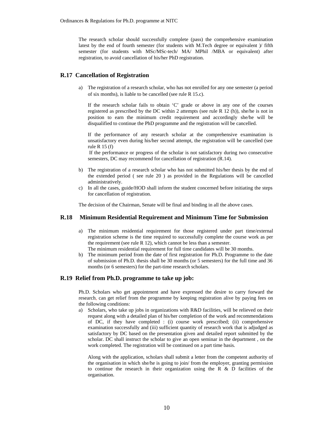The research scholar should successfully complete (pass) the comprehensive examination latest by the end of fourth semester (for students with M.Tech degree or equivalent )/ fifth semester (for students with MSc/MSc-tech/ MA/ MPhil /MBA or equivalent) after registration, to avoid cancellation of his/her PhD registration.

### **R.17 Cancellation of Registration**

a) The registration of a research scholar, who has not enrolled for any one semester (a period of six months), is liable to be cancelled (see rule R 15.c).

If the research scholar fails to obtain 'C' grade or above in any one of the courses registered as prescribed by the DC within 2 attempts (see rule R 12 (h)), she/he is not in position to earn the minimum credit requirement and accordingly she/he will be disqualified to continue the PhD programme and the registration will be cancelled.

If the performance of any research scholar at the comprehensive examination is unsatisfactory even during his/her second attempt, the registration will be cancelled (see rule R 15 (f)

If the performance or progress of the scholar is not satisfactory during two consecutive semesters, DC may recommend for cancellation of registration (R.14).

- b) The registration of a research scholar who has not submitted his/her thesis by the end of the extended period ( see rule 20 ) as provided in the Regulations will be cancelled administratively.
- c) In all the cases, guide/HOD shall inform the student concerned before initiating the steps for cancellation of registration.

The decision of the Chairman, Senate will be final and binding in all the above cases.

#### **R.18 Minimum Residential Requirement and Minimum Time for Submission**

- a) The minimum residential requirement for those registered under part time/external registration scheme is the time required to successfully complete the course work as per the requirement (see rule R 12), which cannot be less than a semester.
	- The minimum residential requirement for full time candidates will be 30 months.
- b) The minimum period from the date of first registration for Ph.D. Programme to the date of submission of Ph.D. thesis shall be 30 months (or 5 semesters) for the full time and 36 months (or 6 semesters) for the part-time research scholars.

#### **R.19 Relief from Ph.D. programme to take up job:**

Ph.D. Scholars who get appointment and have expressed the desire to carry forward the research, can get relief from the programme by keeping registration alive by paying fees on the following conditions:

a) Scholars, who take up jobs in organizations with R&D facilities, will be relieved on their request along with a detailed plan of his/her completion of the work and recommendations of DC, if they have completed : (i) course work prescribed; (ii) comprehensive examination successfully and (iii) sufficient quantity of research work that is adjudged as satisfactory by DC based on the presentation given and detailed report submitted by the scholar. DC shall instruct the scholar to give an open seminar in the department , on the work completed. The registration will be continued on a part time basis.

Along with the application, scholars shall submit a letter from the competent authority of the organisation in which she/he is going to join/ from the employer, granting permission to continue the research in their organization using the R & D facilities of the organisation.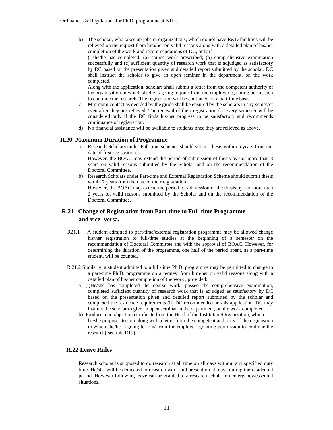b) The scholar, who takes up jobs in organizations, which do not have  $R&D$  facilities will be relieved on the request from him/her on valid reasons along with a detailed plan of his/her completion of the work and recommendations of DC, only if

(i)she/he has completed: (a) course work prescribed; (b) comprehensive examination successfully and (c) sufficient quantity of research work that is adjudged as satisfactory by DC based on the presentation given and detailed report submitted by the scholar. DC shall instruct the scholar to give an open seminar in the department, on the work completed.

Along with the application, scholars shall submit a letter from the competent authority of the organisation in which she/he is going to join/ from the employer, granting permission to continue the research. The registration will be continued on a part time basis.

- c) Minimum contact as decided by the guide shall be ensured by the scholars in any semester even after they are relieved. The renewal of their registration for every semester will be considered only if the DC finds his/her progress to be satisfactory and recommends continuance of registration.
- d) No financial assistance will be available to students once they are relieved as above.

#### **R.20 Maximum Duration of Programme**

a) Research Scholars under Full-time schemes should submit thesis within 5 years from the date of first registration.

However, the BOAC may extend the period of submission of thesis by not more than 3 years on valid reasons submitted by the Scholar and on the recommendation of the Doctoral Committee.

b) Research Scholars under Part-time and External Registration Scheme should submit thesis within 7 years from the date of their registration.

However, the BOAC may extend the period of submission of the thesis by not more than 2 years on valid reasons submitted by the Scholar and on the recommendation of the Doctoral Committee.

# **R.21 Change of Registration from Part-time to Full-time Programme and vice- versa.**

- R21.1 A student admitted to part-time/external registration programme may be allowed change his/her registration to full-time studies at the beginning of a semester on the recommendation of Doctoral Committee and with the approval of BOAC. However, for determining the duration of the programme, one half of the period spent, as a part-time student, will be counted.
- R.21.2 Similarly, a student admitted to a full-time Ph.D. programme may be permitted to change to a part-time Ph.D. programme on a request from him/her on valid reasons along with a detailed plan of his/her completion of the work , provided:
	- a) (i)He/she has completed the course work, passed the comprehensive examination, completed sufficient quantity of research work that is adjudged as satisfactory by DC based on the presentation given and detailed report submitted by the scholar and completed the residence requirements.(ii) DC recommended her/his application. DC may instruct the scholar to give an open seminar in the department, on the work completed.
	- b) Produce a no objection certificate from the Head of the Institution/Organization, which he/she proposes to join along with a letter from the competent authority of the orgnaistion in which she/he is going to join/ from the employer, granting permission to continue the research( see rule R19).

## **R.22 Leave Rules**

Research scholar is supposed to do research at all time on all days without any specified duty time. He/she will be dedicated to research work and present on all days during the residential period. However following leave can be granted to a research scholar on emergency/essential situations.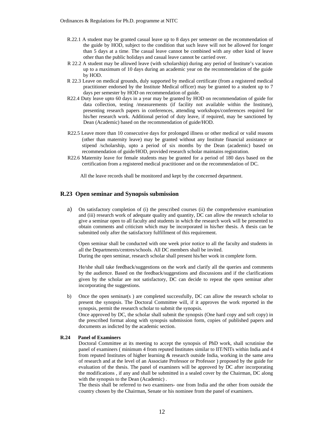- R.22.1 A student may be granted casual leave up to 8 days per semester on the recommendation of the guide by HOD, subject to the condition that such leave will not be allowed for longer than 5 days at a time. The casual leave cannot be combined with any other kind of leave other than the public holidays and casual leave cannot be carried over.
- R 22.2 A student may be allowed leave (with scholarship) during any period of Institute's vacation up to a maximum of 10 days during an academic year on the recommendation of the guide by HOD.
- R 22.3 Leave on medical grounds, duly supported by medical certificate (from a registered medical practitioner endorsed by the Institute Medical officer) may be granted to a student up to 7 days per semester by HOD on recommendation of guide.
- R22.4 Duty leave upto 60 days in a year may be granted by HOD on recommendation of guide for data collection, testing /measurements (if facility not available within the Institute), presenting research papers in conferences, attending workshops/conferences required for his/her research work. Additional period of duty leave, if required, may be sanctioned by Dean (Academic) based on the recommendation of guide/HOD.
- R22.5 Leave more than 10 consecutive days for prolonged illness or other medical or valid reasons (other than maternity leave) may be granted without any Institute financial assistance or stipend /scholarship, upto a period of six months by the Dean (academic) based on recommendation of guide/HOD, provided research scholar maintains registration.
- R22.6 Maternity leave for female students may be granted for a period of 180 days based on the certification from a registered medical practitioner and on the recommendation of DC.

All the leave records shall be monitored and kept by the concerned department.

#### **R.23 Open seminar and Synopsis submission**

a) On satisfactory completion of (i) the prescribed courses (ii) the comprehensive examination and (iii) research work of adequate quality and quantity, DC can allow the research scholar to give a seminar open to all faculty and students in which the research work will be presented to obtain comments and criticism which may be incorporated in his/her thesis. A thesis can be submitted only after the satisfactory fulfillment of this requirement.

Open seminar shall be conducted with one week prior notice to all the faculty and students in all the Departments/centres/schools. All DC members shall be invited.

During the open seminar, research scholar shall present his/her work in complete form.

He/she shall take feedback/suggestions on the work and clarify all the queries and comments by the audience. Based on the feedback/suggestions and discussions and if the clarifications given by the scholar are not satisfactory, DC can decide to repeat the open seminar after incorporating the suggestions.

b) Once the open seminar(s) are completed successfully, DC can allow the research scholar to present the synopsis. The Doctoral Committee will, if it approves the work reported in the synopsis, permit the research scholar to submit the synopsis.

Once approved by DC, the scholar shall submit the synopsis (One hard copy and soft copy) in the prescribed format along with synopsis submission form, copies of published papers and documents as indicted by the academic section.

#### **R.24 Panel of Examiners**

Doctoral Committee at its meeting to accept the synopsis of PhD work, shall scrutinise the panel of examiners ( minimum 4 from reputed Institutes similar to IIT/NITs within India and 4 from reputed Institutes of higher learning & research outside India, working in the same area of research and at the level of an Associate Professor or Professor ) proposed by the guide for evaluation of the thesis. The panel of examiners will be approved by DC after incorporating the modifications , if any and shall be submitted in a sealed cover by the Chairman, DC along with the synopsis to the Dean (Academic) .

The thesis shall be referred to two examiners- one from India and the other from outside the country chosen by the Chairman, Senate or his nominee from the panel of examiners.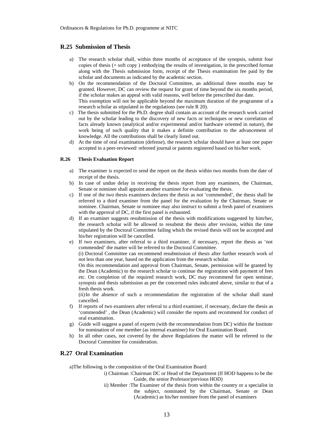#### **R.25 Submission of Thesis**

- a) The research scholar shall, within three months of acceptance of the synopsis, submit four copies of thesis (+ soft copy ) embodying the results of investigation, in the prescribed format along with the Thesis submission form, receipt of the Thesis examination fee paid by the scholar and documents as indicated by the academic section.
- b) On the recommendation of the Doctoral Committee, an additional three months may be granted. However, DC can review the request for grant of time beyond the six months period, if the scholar makes an appeal with valid reasons, well before the prescribed due date. This exemption will not be applicable beyond the maximum duration of the programme of a research scholar as stipulated in the regulations (see rule R 20).
- c) The thesis submitted for the Ph.D. degree shall contain an account of the research work carried out by the scholar leading to the discovery of new facts or techniques or new correlation of facts already known (analytical and/or experimental and/or hardware oriented in nature), the work being of such quality that it makes a definite contribution to the advancement of knowledge. All the contributions shall be clearly listed out.
- d) At the time of oral examination (defense), the research scholar should have at least one paper accepted in a peer-reviewed/ refereed journal or patents registered based on his/her work.

#### **R.26 Thesis Evaluation Report**

- a) The examiner is expected to send the report on the thesis within two months from the date of receipt of the thesis.
- b) In case of undue delay in receiving the thesis report from any examiners, the Chairman, Senate or nominee shall appoint another examiner for evaluating the thesis.
- c) If one of the two thesis examiners declares the thesis as not 'commended', the thesis shall be referred to a third examiner from the panel for the evaluation by the Chairman, Senate or nominee. Chairman, Senate or nominee may also instruct to submit a fresh panel of examiners with the approval of DC, if the first panel is exhausted.
- d) If an examiner suggests resubmission of the thesis with modifications suggested by him/her, the research scholar will be allowed to resubmit the thesis after revision, within the time stipulated by the Doctoral Committee failing which the revised thesis will not be accepted and his/her registration will be cancelled.
- e) If two examiners, after referral to a third examiner, if necessary, report the thesis as 'not commended' the matter will be referred to the Doctoral Committee.

(i) Doctoral Committee can recommend resubmission of thesis after further research work of not less than one year, based on the application from the research scholar.

On this recommendation and approval from Chairman, Senate, permission will be granted by the Dean (Academic) to the research scholar to continue the registration with payment of fees etc. On completion of the required research work, DC may recommend for open seminar, synopsis and thesis submission as per the concerned rules indicated above, similar to that of a fresh thesis work.

(ii)In the absence of such a recommendation the registration of the scholar shall stand cancelled.

- f) If reports of two examiners after referral to a third examiner, if necessary, declare the thesis as 'commended' , the Dean (Academic) will consider the reports and recommend for conduct of oral examination.
- g) Guide will suggest a panel of experts (with the recommendation from DC) within the Institute for nomination of one member (as internal examiner) for Oral Examination Board.
- h) In all other cases, not covered by the above Regulations the matter will be referred to the Doctoral Committee for consideration.

#### **R.27 Oral Examination**

a)The following is the composition of the Oral Examination Board:

- i) Chairman :Chairman DC or Head of the Department (If HOD happens to be the Guide, the senior Professor/previous HOD)
- ii) Member :The Examiner of the thesis from within the country or a specialist in the subject, nominated by the Chairman, Senate or Dean (Academic) as his/her nominee from the panel of examiners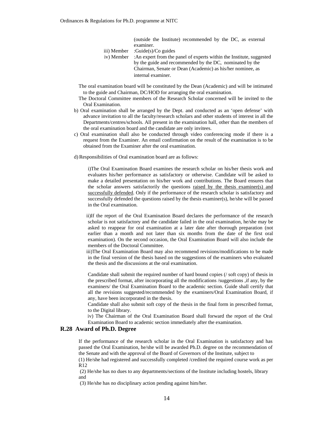(outside the Institute) recommended by the DC, as external examiner.

- iii) Member :Guide(s)/Co guides
- iv) Member :An expert from the panel of experts within the Institute, suggested by the guide and recommended by the DC, nominated by the Chairman, Senate or Dean (Academic) as his/her nominee, as internal examiner.
- The oral examination board will be constituted by the Dean (Academic) and will be intimated to the guide and Chairman, DC/HOD for arranging the oral examination.
- The Doctoral Committee members of the Research Scholar concerned will be invited to the Oral Examination.
- b) Oral examination shall be arranged by the Dept. and conducted as an 'open defense' with advance invitation to all the faculty/research scholars and other students of interest in all the Departments/centres/schools. All present in the examination hall, other than the members of the oral examination board and the candidate are only invitees.
- c) Oral examination shall also be conducted through video conferencing mode if there is a request from the Examiner. An email confirmation on the result of the examination is to be obtained from the Examiner after the oral examination.
- d)Responsibilities of Oral examination board are as follows:

i)The Oral Examination Board examines the research scholar on his/her thesis work and evaluates his/her performance as satisfactory or otherwise. Candidate will be asked to make a detailed presentation on his/her work and contributions. The Board ensures that the scholar answers satisfactorily the questions raised by the thesis examiner(s) and successfully defended. Only if the performance of the research scholar is satisfactory and successfully defended the questions raised by the thesis examiner(s), he/she will be passed in the Oral examination.

ii)If the report of the Oral Examination Board declares the performance of the research scholar is not satisfactory and the candidate failed in the oral examination, he/she may be asked to reappear for oral examination at a later date after thorough preparation (not earlier than a month and not later than six months from the date of the first oral examination). On the second occasion, the Oral Examination Board will also include the members of the Doctoral Committee.

iii)The Oral Examination Board may also recommend revisions/modifications to be made in the final version of the thesis based on the suggestions of the examiners who evaluated the thesis and the discussions at the oral examination.

Candidate shall submit the required number of hard bound copies (/ soft copy) of thesis in the prescribed format, after incorporating all the modifications /suggestions ,if any, by the examiners/ the Oral Examination Board to the academic section. Guide shall certify that all the revisions suggested/recommended by the examiners/Oral Examination Board, if any, have been incorporated in the thesis.

Candidate shall also submit soft copy of the thesis in the final form in prescribed format, to the Digital library.

iv) The Chairman of the Oral Examination Board shall forward the report of the Oral Examination Board to academic section immediately after the examination.

#### **R.28 Award of Ph.D. Degree**

If the performance of the research scholar in the Oral Examination is satisfactory and has passed the Oral Examination, he/she will be awarded Ph.D. degree on the recommendation of the Senate and with the approval of the Board of Governors of the Institute, subject to

(1) He/she had registered and successfully completed /credited the required course work as per R12

(2) He/she has no dues to any departments/sections of the Institute including hostels, library and

(3) He/she has no disciplinary action pending against him/her.